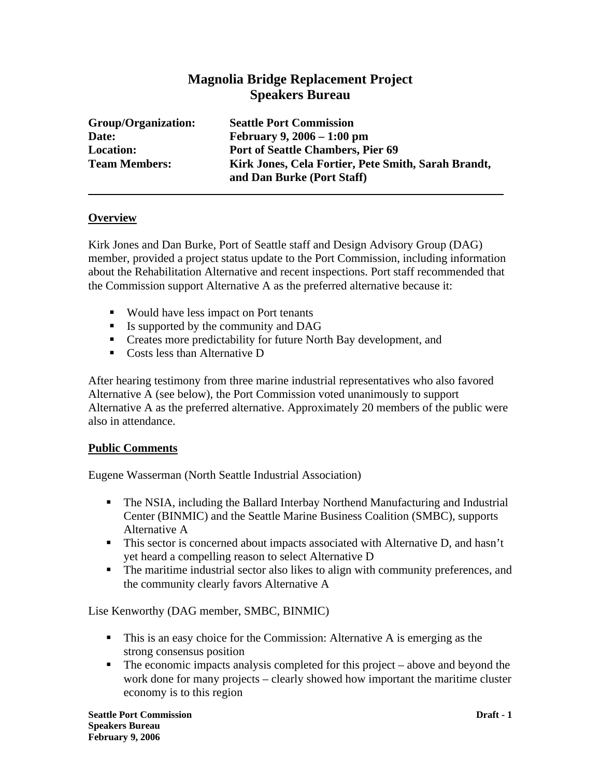# **Magnolia Bridge Replacement Project Speakers Bureau**

**Group/Organization: Seattle Port Commission Date: February 9, 2006 – 1:00 pm Location: Port of Seattle Chambers, Pier 69 Team Members: Kirk Jones, Cela Fortier, Pete Smith, Sarah Brandt, and Dan Burke (Port Staff)** 

### **Overview**

Kirk Jones and Dan Burke, Port of Seattle staff and Design Advisory Group (DAG) member, provided a project status update to the Port Commission, including information about the Rehabilitation Alternative and recent inspections. Port staff recommended that the Commission support Alternative A as the preferred alternative because it:

- Would have less impact on Port tenants
- Is supported by the community and DAG
- Creates more predictability for future North Bay development, and
- Costs less than Alternative D

After hearing testimony from three marine industrial representatives who also favored Alternative A (see below), the Port Commission voted unanimously to support Alternative A as the preferred alternative. Approximately 20 members of the public were also in attendance.

#### **Public Comments**

Eugene Wasserman (North Seattle Industrial Association)

- The NSIA, including the Ballard Interbay Northend Manufacturing and Industrial Center (BINMIC) and the Seattle Marine Business Coalition (SMBC), supports Alternative A
- This sector is concerned about impacts associated with Alternative D, and hasn't yet heard a compelling reason to select Alternative D
- The maritime industrial sector also likes to align with community preferences, and the community clearly favors Alternative A

#### Lise Kenworthy (DAG member, SMBC, BINMIC)

- This is an easy choice for the Commission: Alternative A is emerging as the strong consensus position
- $\blacksquare$  The economic impacts analysis completed for this project above and beyond the work done for many projects – clearly showed how important the maritime cluster economy is to this region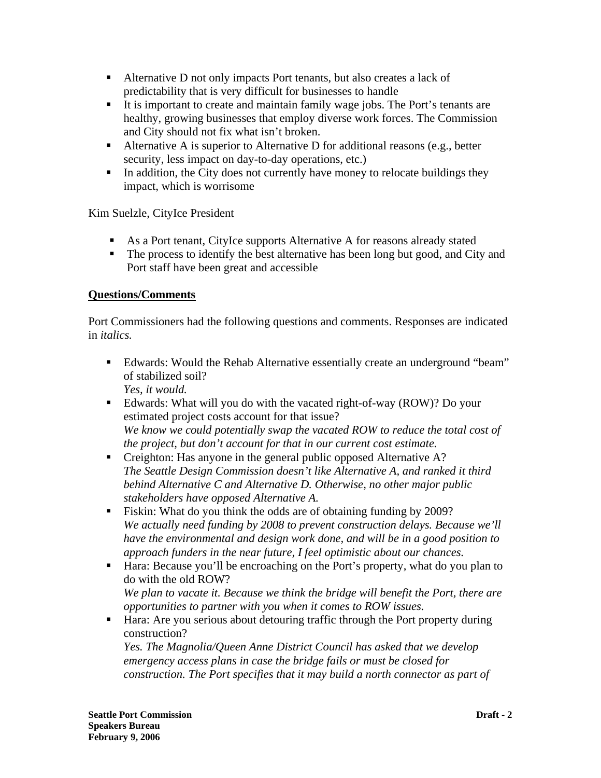- Alternative D not only impacts Port tenants, but also creates a lack of predictability that is very difficult for businesses to handle
- It is important to create and maintain family wage jobs. The Port's tenants are healthy, growing businesses that employ diverse work forces. The Commission and City should not fix what isn't broken.
- Alternative A is superior to Alternative D for additional reasons (e.g., better security, less impact on day-to-day operations, etc.)
- In addition, the City does not currently have money to relocate buildings they impact, which is worrisome

Kim Suelzle, CityIce President

- As a Port tenant, CityIce supports Alternative A for reasons already stated
- The process to identify the best alternative has been long but good, and City and Port staff have been great and accessible

## **Questions/Comments**

Port Commissioners had the following questions and comments. Responses are indicated in *italics.* 

- Edwards: Would the Rehab Alternative essentially create an underground "beam" of stabilized soil? *Yes, it would.*
- Edwards: What will you do with the vacated right-of-way (ROW)? Do your estimated project costs account for that issue? *We know we could potentially swap the vacated ROW to reduce the total cost of the project, but don't account for that in our current cost estimate.*
- Creighton: Has anyone in the general public opposed Alternative A? *The Seattle Design Commission doesn't like Alternative A, and ranked it third behind Alternative C and Alternative D. Otherwise, no other major public stakeholders have opposed Alternative A.*
- Fiskin: What do you think the odds are of obtaining funding by 2009? *We actually need funding by 2008 to prevent construction delays. Because we'll have the environmental and design work done, and will be in a good position to approach funders in the near future, I feel optimistic about our chances.*
- Hara: Because you'll be encroaching on the Port's property, what do you plan to do with the old ROW? *We plan to vacate it. Because we think the bridge will benefit the Port, there are*

*opportunities to partner with you when it comes to ROW issues.*

 Hara: Are you serious about detouring traffic through the Port property during construction?

*Yes. The Magnolia/Queen Anne District Council has asked that we develop emergency access plans in case the bridge fails or must be closed for construction. The Port specifies that it may build a north connector as part of*